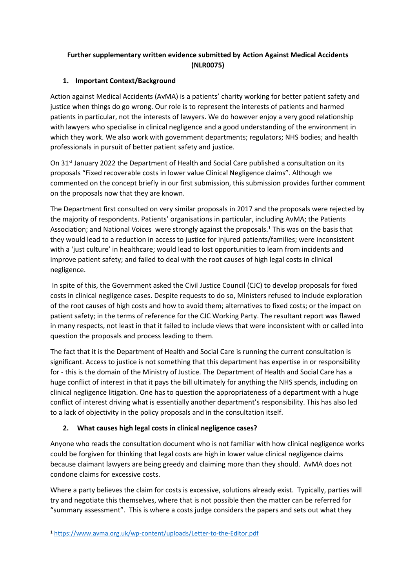# **Further supplementary written evidence submitted by Action Against Medical Accidents (NLR0075)**

### **1. Important Context/Background**

Action against Medical Accidents (AvMA) is a patients' charity working for better patient safety and justice when things do go wrong. Our role is to represent the interests of patients and harmed patients in particular, not the interests of lawyers. We do however enjoy a very good relationship with lawyers who specialise in clinical negligence and a good understanding of the environment in which they work. We also work with government departments; regulators; NHS bodies; and health professionals in pursuit of better patient safety and justice.

On 31st January 2022 the Department of Health and Social Care published a consultation on its proposals "Fixed recoverable costs in lower value Clinical Negligence claims". Although we commented on the concept briefly in our first submission, this submission provides further comment on the proposals now that they are known.

The Department first consulted on very similar proposals in 2017 and the proposals were rejected by the majority of respondents. Patients' organisations in particular, including AvMA; the Patients Association; and National Voices were strongly against the proposals.<sup>1</sup> This was on the basis that they would lead to a reduction in access to justice for injured patients/families; were inconsistent with a 'just culture' in healthcare; would lead to lost opportunities to learn from incidents and improve patient safety; and failed to deal with the root causes of high legal costs in clinical negligence.

In spite of this, the Government asked the Civil Justice Council (CJC) to develop proposals for fixed costs in clinical negligence cases. Despite requests to do so, Ministers refused to include exploration of the root causes of high costs and how to avoid them; alternatives to fixed costs; or the impact on patient safety; in the terms of reference for the CJC Working Party. The resultant report was flawed in many respects, not least in that it failed to include views that were inconsistent with or called into question the proposals and process leading to them.

The fact that it is the Department of Health and Social Care is running the current consultation is significant. Access to justice is not something that this department has expertise in or responsibility for - this is the domain of the Ministry of Justice. The Department of Health and Social Care has a huge conflict of interest in that it pays the bill ultimately for anything the NHS spends, including on clinical negligence litigation. One has to question the appropriateness of a department with a huge conflict of interest driving what is essentially another department's responsibility. This has also led to a lack of objectivity in the policy proposals and in the consultation itself.

# **2. What causes high legal costs in clinical negligence cases?**

Anyone who reads the consultation document who is not familiar with how clinical negligence works could be forgiven for thinking that legal costs are high in lower value clinical negligence claims because claimant lawyers are being greedy and claiming more than they should. AvMA does not condone claims for excessive costs.

Where a party believes the claim for costs is excessive, solutions already exist. Typically, parties will try and negotiate this themselves, where that is not possible then the matter can be referred for "summary assessment". This is where a costs judge considers the papers and sets out what they

<sup>1</sup> <https://www.avma.org.uk/wp-content/uploads/Letter-to-the-Editor.pdf>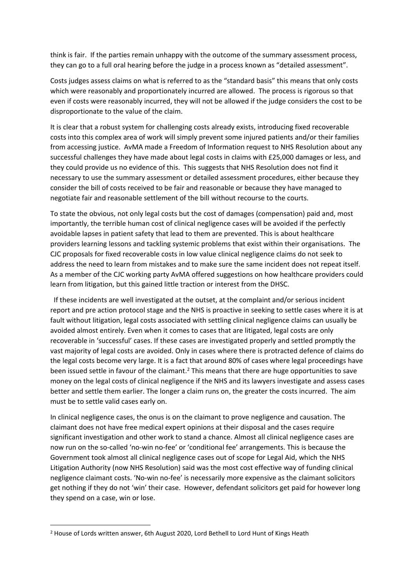think is fair. If the parties remain unhappy with the outcome of the summary assessment process, they can go to a full oral hearing before the judge in a process known as "detailed assessment".

Costs judges assess claims on what is referred to as the "standard basis" this means that only costs which were reasonably and proportionately incurred are allowed. The process is rigorous so that even if costs were reasonably incurred, they will not be allowed if the judge considers the cost to be disproportionate to the value of the claim.

It is clear that a robust system for challenging costs already exists, introducing fixed recoverable costs into this complex area of work will simply prevent some injured patients and/or their families from accessing justice. AvMA made a Freedom of Information request to NHS Resolution about any successful challenges they have made about legal costs in claims with £25,000 damages or less, and they could provide us no evidence of this. This suggests that NHS Resolution does not find it necessary to use the summary assessment or detailed assessment procedures, either because they consider the bill of costs received to be fair and reasonable or because they have managed to negotiate fair and reasonable settlement of the bill without recourse to the courts.

To state the obvious, not only legal costs but the cost of damages (compensation) paid and, most importantly, the terrible human cost of clinical negligence cases will be avoided if the perfectly avoidable lapses in patient safety that lead to them are prevented. This is about healthcare providers learning lessons and tackling systemic problems that exist within their organisations. The CJC proposals for fixed recoverable costs in low value clinical negligence claims do not seek to address the need to learn from mistakes and to make sure the same incident does not repeat itself. As a member of the CJC working party AvMA offered suggestions on how healthcare providers could learn from litigation, but this gained little traction or interest from the DHSC.

 If these incidents are well investigated at the outset, at the complaint and/or serious incident report and pre action protocol stage and the NHS is proactive in seeking to settle cases where it is at fault without litigation, legal costs associated with settling clinical negligence claims can usually be avoided almost entirely. Even when it comes to cases that are litigated, legal costs are only recoverable in 'successful' cases. If these cases are investigated properly and settled promptly the vast majority of legal costs are avoided. Only in cases where there is protracted defence of claims do the legal costs become very large. It is a fact that around 80% of cases where legal proceedings have been issued settle in favour of the claimant.<sup>2</sup> This means that there are huge opportunities to save money on the legal costs of clinical negligence if the NHS and its lawyers investigate and assess cases better and settle them earlier. The longer a claim runs on, the greater the costs incurred. The aim must be to settle valid cases early on.

In clinical negligence cases, the onus is on the claimant to prove negligence and causation. The claimant does not have free medical expert opinions at their disposal and the cases require significant investigation and other work to stand a chance. Almost all clinical negligence cases are now run on the so-called 'no-win no-fee' or 'conditional fee' arrangements. This is because the Government took almost all clinical negligence cases out of scope for Legal Aid, which the NHS Litigation Authority (now NHS Resolution) said was the most cost effective way of funding clinical negligence claimant costs. 'No-win no-fee' is necessarily more expensive as the claimant solicitors get nothing if they do not 'win' their case. However, defendant solicitors get paid for however long they spend on a case, win or lose.

<sup>2</sup> House of Lords written answer, 6th August 2020, Lord Bethell to Lord Hunt of Kings Heath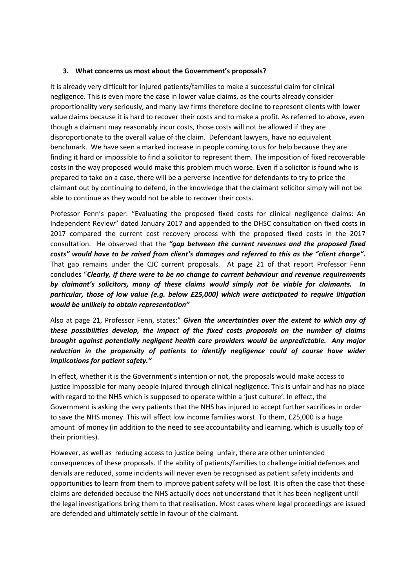#### **3. What concerns us most about the Government's proposals?**

It is already very difficult for injured patients/families to make a successful claim for clinical negligence. This is even more the case in lower value claims, as the courts already consider proportionality very seriously, and many law firms therefore decline to represent clients with lower value claims because it is hard to recover their costs and to make a profit. As referred to above, even though a claimant may reasonably incur costs, those costs will not be allowed if they are disproportionate to the overall value of the claim. Defendant lawyers, have no equivalent benchmark. We have seen a marked increase in people coming to us for help because they are finding it hard or impossible to find a solicitor to represent them. The imposition of fixed recoverable costs in the way proposed would make this problem much worse. Even if a solicitor is found who is prepared to take on a case, there will be a perverse incentive for defendants to try to price the claimant out by continuing to defend, in the knowledge that the claimant solicitor simply will not be able to continue as they would not be able to recover their costs.

Professor Fenn's paper: "Evaluating the proposed fixed costs for clinical negligence claims: An Independent Review" dated January 2017 and appended to the DHSC consultation on fixed costs in 2017 compared the current cost recovery process with the proposed fixed costs in the 2017 consultation. He observed that the *"gap between the current revenues and the proposed fixed costs" would have to be raised from client's damages and referred to this as the "client charge".* That gap remains under the CJC current proposals. At page 21 of that report Professor Fenn concludes "*Clearly, if there were to be no change to current behaviour and revenue requirements by claimant's solicitors, many of these claims would simply not be viable for claimants. In particular, those of low value (e.g. below £25,000) which were anticipated to require litigation would be unlikely to obtain representation"*

Also at page 21, Professor Fenn, states:" *Given the uncertainties over the extent to which any of these possibilities develop, the impact of the fixed costs proposals on the number of claims brought against potentially negligent health care providers would be unpredictable. Any major reduction in the propensity of patients to identify negligence could of course have wider implications for patient safety."*

In effect, whether it is the Government's intention or not, the proposals would make access to justice impossible for many people injured through clinical negligence. This is unfair and has no place with regard to the NHS which is supposed to operate within a 'just culture'. In effect, the Government is asking the very patients that the NHS has injured to accept further sacrifices in order to save the NHS money. This will affect low income families worst. To them, £25,000 is a huge amount of money (in addition to the need to see accountability and learning, which is usually top of their priorities).

However, as well as reducing access to justice being unfair, there are other unintended consequences of these proposals. If the ability of patients/families to challenge initial defences and denials are reduced, some incidents will never even be recognised as patient safety incidents and opportunities to learn from them to improve patient safety will be lost. It is often the case that these claims are defended because the NHS actually does not understand that it has been negligent until the legal investigations bring them to that realisation. Most cases where legal proceedings are issued are defended and ultimately settle in favour of the claimant.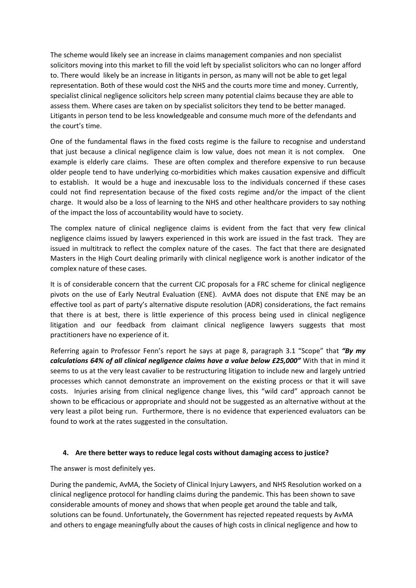The scheme would likely see an increase in claims management companies and non specialist solicitors moving into this market to fill the void left by specialist solicitors who can no longer afford to. There would likely be an increase in litigants in person, as many will not be able to get legal representation. Both of these would cost the NHS and the courts more time and money. Currently, specialist clinical negligence solicitors help screen many potential claims because they are able to assess them. Where cases are taken on by specialist solicitors they tend to be better managed. Litigants in person tend to be less knowledgeable and consume much more of the defendants and the court's time.

One of the fundamental flaws in the fixed costs regime is the failure to recognise and understand that just because a clinical negligence claim is low value, does not mean it is not complex. One example is elderly care claims. These are often complex and therefore expensive to run because older people tend to have underlying co-morbidities which makes causation expensive and difficult to establish. It would be a huge and inexcusable loss to the individuals concerned if these cases could not find representation because of the fixed costs regime and/or the impact of the client charge. It would also be a loss of learning to the NHS and other healthcare providers to say nothing of the impact the loss of accountability would have to society.

The complex nature of clinical negligence claims is evident from the fact that very few clinical negligence claims issued by lawyers experienced in this work are issued in the fast track. They are issued in multitrack to reflect the complex nature of the cases. The fact that there are designated Masters in the High Court dealing primarily with clinical negligence work is another indicator of the complex nature of these cases.

It is of considerable concern that the current CJC proposals for a FRC scheme for clinical negligence pivots on the use of Early Neutral Evaluation (ENE). AvMA does not dispute that ENE may be an effective tool as part of party's alternative dispute resolution (ADR) considerations, the fact remains that there is at best, there is little experience of this process being used in clinical negligence litigation and our feedback from claimant clinical negligence lawyers suggests that most practitioners have no experience of it.

Referring again to Professor Fenn's report he says at page 8, paragraph 3.1 "Scope" that *"By my calculations 64% of all clinical negligence claims have a value below £25,000"* With that in mind it seems to us at the very least cavalier to be restructuring litigation to include new and largely untried processes which cannot demonstrate an improvement on the existing process or that it will save costs. Injuries arising from clinical negligence change lives, this "wild card" approach cannot be shown to be efficacious or appropriate and should not be suggested as an alternative without at the very least a pilot being run. Furthermore, there is no evidence that experienced evaluators can be found to work at the rates suggested in the consultation.

### **4. Are there better ways to reduce legal costs without damaging access to justice?**

The answer is most definitely yes.

During the pandemic, AvMA, the Society of Clinical Injury Lawyers, and NHS Resolution worked on a clinical negligence protocol for handling claims during the pandemic. This has been shown to save considerable amounts of money and shows that when people get around the table and talk, solutions can be found. Unfortunately, the Government has rejected repeated requests by AvMA and others to engage meaningfully about the causes of high costs in clinical negligence and how to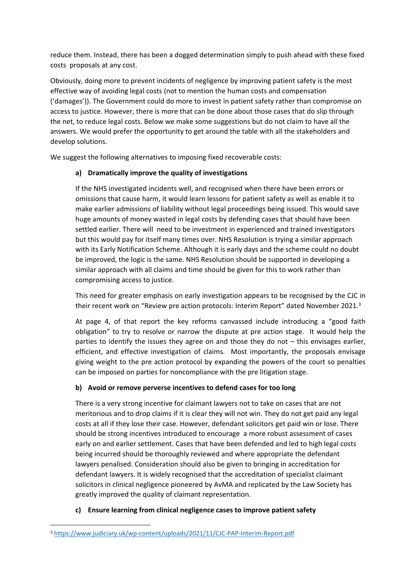reduce them. Instead, there has been a dogged determination simply to push ahead with these fixed costs proposals at any cost.

Obviously, doing more to prevent incidents of negligence by improving patient safety is the most effective way of avoiding legal costs (not to mention the human costs and compensation ('damages')). The Government could do more to invest in patient safety rather than compromise on access to justice. However, there is more that can be done about those cases that do slip through the net, to reduce legal costs. Below we make some suggestions but do not claim to have all the answers. We would prefer the opportunity to get around the table with all the stakeholders and develop solutions.

We suggest the following alternatives to imposing fixed recoverable costs:

### **a) Dramatically improve the quality of investigations**

If the NHS investigated incidents well, and recognised when there have been errors or omissions that cause harm, it would learn lessons for patient safety as well as enable it to make earlier admissions of liability without legal proceedings being issued. This would save huge amounts of money wasted in legal costs by defending cases that should have been settled earlier. There will need to be investment in experienced and trained investigators but this would pay for itself many times over. NHS Resolution is trying a similar approach with its Early Notification Scheme. Although it is early days and the scheme could no doubt be improved, the logic is the same. NHS Resolution should be supported in developing a similar approach with all claims and time should be given for this to work rather than compromising access to justice.

This need for greater emphasis on early investigation appears to be recognised by the CJC in their recent work on "Review pre action protocols: Interim Report" dated November 2021.<sup>3</sup>

At page 4, of that report the key reforms canvassed include introducing a "good faith obligation" to try to resolve or narrow the dispute at pre action stage. It would help the parties to identify the issues they agree on and those they do not – this envisages earlier, efficient, and effective investigation of claims. Most importantly, the proposals envisage giving weight to the pre action protocol by expanding the powers of the court so penalties can be imposed on parties for noncompliance with the pre litigation stage.

# **b) Avoid or remove perverse incentives to defend cases for too long**

There is a very strong incentive for claimant lawyers not to take on cases that are not meritorious and to drop claims if it is clear they will not win. They do not get paid any legal costs at all if they lose their case. However, defendant solicitors get paid win or lose. There should be strong incentives introduced to encourage a more robust assessment of cases early on and earlier settlement. Cases that have been defended and led to high legal costs being incurred should be thoroughly reviewed and where appropriate the defendant lawyers penalised. Consideration should also be given to bringing in accreditation for defendant lawyers. It is widely recognised that the accreditation of specialist claimant solicitors in clinical negligence pioneered by AvMA and replicated by the Law Society has greatly improved the quality of claimant representation.

# **c) Ensure learning from clinical negligence cases to improve patient safety**

<sup>3</sup> <https://www.judiciary.uk/wp-content/uploads/2021/11/CJC-PAP-Interim-Report.pdf>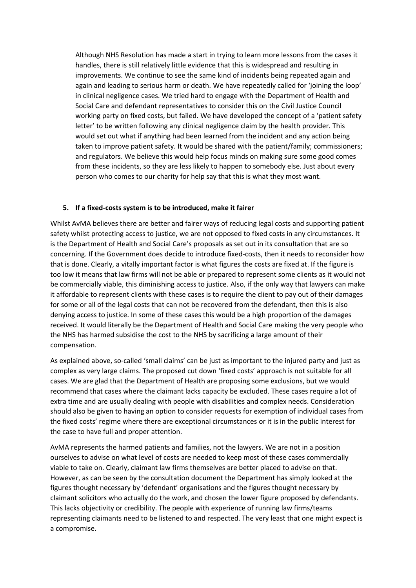Although NHS Resolution has made a start in trying to learn more lessons from the cases it handles, there is still relatively little evidence that this is widespread and resulting in improvements. We continue to see the same kind of incidents being repeated again and again and leading to serious harm or death. We have repeatedly called for 'joining the loop' in clinical negligence cases. We tried hard to engage with the Department of Health and Social Care and defendant representatives to consider this on the Civil Justice Council working party on fixed costs, but failed. We have developed the concept of a 'patient safety letter' to be written following any clinical negligence claim by the health provider. This would set out what if anything had been learned from the incident and any action being taken to improve patient safety. It would be shared with the patient/family; commissioners; and regulators. We believe this would help focus minds on making sure some good comes from these incidents, so they are less likely to happen to somebody else. Just about every person who comes to our charity for help say that this is what they most want.

#### **5. If a fixed-costs system is to be introduced, make it fairer**

Whilst AvMA believes there are better and fairer ways of reducing legal costs and supporting patient safety whilst protecting access to justice, we are not opposed to fixed costs in any circumstances. It is the Department of Health and Social Care's proposals as set out in its consultation that are so concerning. If the Government does decide to introduce fixed-costs, then it needs to reconsider how that is done. Clearly, a vitally important factor is what figures the costs are fixed at. If the figure is too low it means that law firms will not be able or prepared to represent some clients as it would not be commercially viable, this diminishing access to justice. Also, if the only way that lawyers can make it affordable to represent clients with these cases is to require the client to pay out of their damages for some or all of the legal costs that can not be recovered from the defendant, then this is also denying access to justice. In some of these cases this would be a high proportion of the damages received. It would literally be the Department of Health and Social Care making the very people who the NHS has harmed subsidise the cost to the NHS by sacrificing a large amount of their compensation.

As explained above, so-called 'small claims' can be just as important to the injured party and just as complex as very large claims. The proposed cut down 'fixed costs' approach is not suitable for all cases. We are glad that the Department of Health are proposing some exclusions, but we would recommend that cases where the claimant lacks capacity be excluded. These cases require a lot of extra time and are usually dealing with people with disabilities and complex needs. Consideration should also be given to having an option to consider requests for exemption of individual cases from the fixed costs' regime where there are exceptional circumstances or it is in the public interest for the case to have full and proper attention.

AvMA represents the harmed patients and families, not the lawyers. We are not in a position ourselves to advise on what level of costs are needed to keep most of these cases commercially viable to take on. Clearly, claimant law firms themselves are better placed to advise on that. However, as can be seen by the consultation document the Department has simply looked at the figures thought necessary by 'defendant' organisations and the figures thought necessary by claimant solicitors who actually do the work, and chosen the lower figure proposed by defendants. This lacks objectivity or credibility. The people with experience of running law firms/teams representing claimants need to be listened to and respected. The very least that one might expect is a compromise.